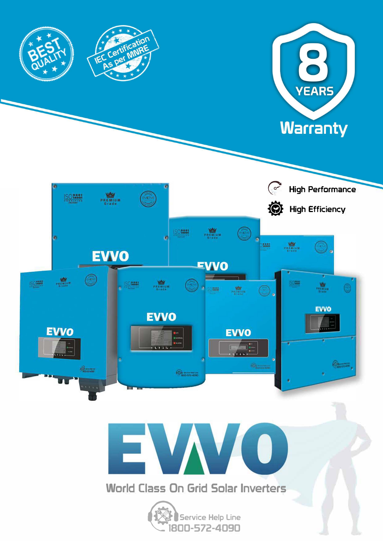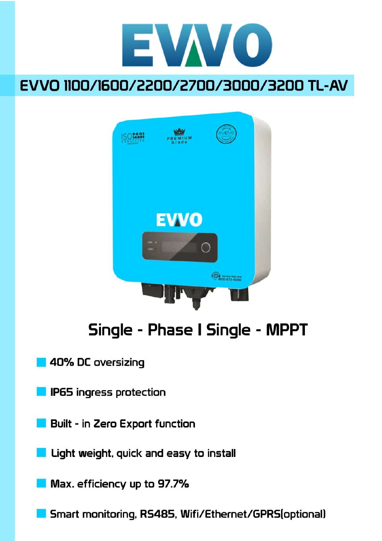

# EVVO 1100/1600/2200/2700/3000/3200 TL-AV



# Single - Phase I Single - MPPT

- 40% DC oversizing
- IP65 ingress protection
- Built in Zero Export function
- Light weight, quick and easy to install
- $\blacksquare$  Max. efficiency up to 97.7%
	- Smart monitoring, RS485, Wifi/Ethernet/GPRS(optional)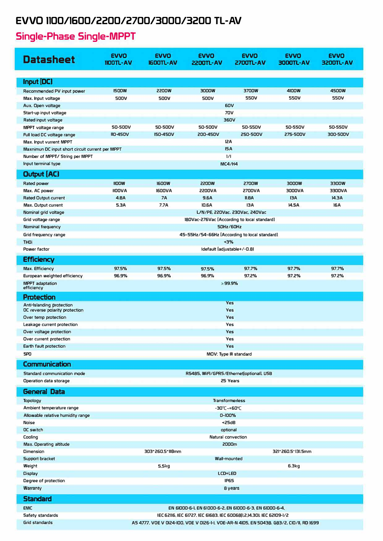#### **EVVO 1100/1600/2200/2700/3000/3200 TL-AV**

### **Single-Phase Single-MPPT**

| <b>Datasheet</b>                                  | <b>EVVO</b><br>$1100TL - AV$                                                             | <b>EVVO</b><br><b>IGDOTL-AV</b>                                      | <b>EVVO</b><br>2200TL-AV                                | <b>EVVO</b><br>2700TL-AV | <b>EVVO</b><br><b>3000TL-AV</b> | <b>EVVO</b><br><b>3200TL-AV</b> |  |
|---------------------------------------------------|------------------------------------------------------------------------------------------|----------------------------------------------------------------------|---------------------------------------------------------|--------------------------|---------------------------------|---------------------------------|--|
| Input [DC]                                        |                                                                                          |                                                                      |                                                         |                          |                                 |                                 |  |
| Recommended PV input power                        | <b>ISOOW</b>                                                                             | <b>2200W</b>                                                         | 3000W                                                   | 3700W                    | <b>4100W</b>                    | <b>4500W</b>                    |  |
| Max. Input voltage                                | <b>500V</b>                                                                              | <b>500V</b>                                                          | <b>500V</b>                                             | <b>550V</b>              | <b>550V</b>                     | <b>550V</b>                     |  |
| Aux. Open voltage                                 |                                                                                          |                                                                      |                                                         | <b>60V</b>               |                                 |                                 |  |
| Start-up input voltage                            |                                                                                          | <b>70V</b>                                                           |                                                         |                          |                                 |                                 |  |
| Rated input voltage                               |                                                                                          | 360V                                                                 |                                                         |                          |                                 |                                 |  |
| MPPT voltage range                                | <b>50-500V</b>                                                                           | <b>50-500V</b>                                                       | <b>50-500V</b>                                          | <b>50-550V</b>           | <b>50-550V</b>                  | <b>50-550V</b>                  |  |
| Full load DC voltage range                        | <b>110-450V</b>                                                                          | <b>I50-450V</b>                                                      | <b>200-450V</b>                                         | <b>250-500V</b>          | <b>275-500V</b>                 | 300-500V                        |  |
| Max. Input vurrent MPPT                           |                                                                                          | <b>12A</b>                                                           |                                                         |                          |                                 |                                 |  |
| Maxnimun DC input short circuit current per MPPT  | ISA                                                                                      |                                                                      |                                                         |                          |                                 |                                 |  |
| Number of MPPT/ String per MPPT                   |                                                                                          | $\frac{1}{1}$                                                        |                                                         |                          |                                 |                                 |  |
| Input terminal type                               |                                                                                          | <b>MC4/H4</b>                                                        |                                                         |                          |                                 |                                 |  |
| <b>Output (AC)</b>                                |                                                                                          |                                                                      |                                                         |                          |                                 |                                 |  |
| Rated power                                       | <b>IIOOW</b>                                                                             | <b>1600W</b>                                                         | <b>2200W</b>                                            | <b>2700W</b>             | 3000W                           | 3300W                           |  |
| Max. AC power                                     | <b>IIOOVA</b>                                                                            | <b>1600VA</b>                                                        | <b>2200VA</b>                                           | <b>2700VA</b>            | <b>AV000E</b>                   | <b>AVOOEE</b>                   |  |
| <b>Rated Output current</b>                       | 4.BA                                                                                     | <b>7A</b>                                                            | <b>9.6A</b>                                             | $n.BA$                   | <b>13A</b>                      | 14.3A                           |  |
| Max. Output current                               | 5.3A                                                                                     | 7.7A                                                                 | <b>10.6A</b>                                            | <b>13A</b>               | 14.5A                           | <b>16A</b>                      |  |
| Nominal grid voltage                              |                                                                                          | L/N/PE, 220Vac, 230Vac, 240Vac                                       |                                                         |                          |                                 |                                 |  |
| Grid voltage range                                |                                                                                          | 180Vac-276Vac (According to local standard)<br><b>50Hz/60Hz</b>      |                                                         |                          |                                 |                                 |  |
| Nominal frequency<br>Grid frequency range         |                                                                                          | 45~55Hz/54~66Hz (According to local standard)                        |                                                         |                          |                                 |                                 |  |
| <b>THOI</b>                                       |                                                                                          |                                                                      |                                                         |                          |                                 |                                 |  |
| Power factor                                      |                                                                                          | $-3%$<br>Idefault (adjustable+/-0.81                                 |                                                         |                          |                                 |                                 |  |
|                                                   |                                                                                          |                                                                      |                                                         |                          |                                 |                                 |  |
| <b>Efficiency</b>                                 |                                                                                          |                                                                      |                                                         |                          |                                 |                                 |  |
| Max. Efficiency                                   | 97.5%                                                                                    | 97.5%                                                                | 97.5%                                                   | 97.7%                    | 97.7%                           | 97.7%                           |  |
| European weighted efficiency                      | 96.9%                                                                                    | 96.9%                                                                | 96.9%                                                   | 97.2%<br>>99.9%          | 97.2%                           | 97.2%                           |  |
| <b>MPPT</b> adaptation<br>efficiency              |                                                                                          |                                                                      |                                                         |                          |                                 |                                 |  |
| <b>Protection</b>                                 |                                                                                          |                                                                      |                                                         |                          |                                 |                                 |  |
| Anti-Islanding protection                         |                                                                                          | <b>Yes</b>                                                           |                                                         |                          |                                 |                                 |  |
| OC reverse polarity protection                    |                                                                                          | <b>Yes</b>                                                           |                                                         |                          |                                 |                                 |  |
| Over temp protection                              |                                                                                          | <b>Yes</b>                                                           |                                                         |                          |                                 |                                 |  |
| Leakage current protection                        |                                                                                          | <b>Yes</b>                                                           |                                                         |                          |                                 |                                 |  |
| Over voltage protection                           |                                                                                          | <b>Yes</b><br>Yes                                                    |                                                         |                          |                                 |                                 |  |
| Over current protection<br>Earth fault protection |                                                                                          | <b>Yes</b>                                                           |                                                         |                          |                                 |                                 |  |
| <b>SPO</b>                                        |                                                                                          | MOV: Type III standard                                               |                                                         |                          |                                 |                                 |  |
|                                                   |                                                                                          |                                                                      |                                                         |                          |                                 |                                 |  |
| <b>Communication</b>                              |                                                                                          |                                                                      |                                                         |                          |                                 |                                 |  |
| Standard communication mode                       |                                                                                          | R5485, WiFi/GPR5/Ethernet optional, USB<br>25 Years                  |                                                         |                          |                                 |                                 |  |
| Operation data storage                            |                                                                                          |                                                                      |                                                         |                          |                                 |                                 |  |
| <b>General Data</b>                               |                                                                                          |                                                                      |                                                         |                          |                                 |                                 |  |
| <b>Topology</b>                                   |                                                                                          | <b>Transformerless</b>                                               |                                                         |                          |                                 |                                 |  |
| Ambient temperature range                         |                                                                                          | $-30^{\circ}$ C $-+60^{\circ}$ C                                     |                                                         |                          |                                 |                                 |  |
| Allowable relative humidity range                 |                                                                                          | 0~100%                                                               |                                                         |                          |                                 |                                 |  |
| Noise                                             |                                                                                          | $25dB$                                                               |                                                         |                          |                                 |                                 |  |
| <b>OC</b> switch                                  |                                                                                          | optional                                                             |                                                         |                          |                                 |                                 |  |
| Cooling                                           |                                                                                          | Natural convection<br>2000m                                          |                                                         |                          |                                 |                                 |  |
| Max. Operating altitude                           |                                                                                          |                                                                      |                                                         |                          |                                 |                                 |  |
| Dimension<br>Support bracket                      |                                                                                          | 303*260.5*118mm                                                      | <b>Wall-mounted</b>                                     |                          | 321'260.5'131.5mm               |                                 |  |
| Weight                                            |                                                                                          | 5.5kg                                                                |                                                         |                          | 6.3kg                           |                                 |  |
| <b>Display</b>                                    |                                                                                          |                                                                      | <b>LCD+LED</b>                                          |                          |                                 |                                 |  |
| Degree of protection                              |                                                                                          |                                                                      |                                                         | <b>IP65</b>              |                                 |                                 |  |
| Warranty                                          |                                                                                          |                                                                      |                                                         | 8 years                  |                                 |                                 |  |
|                                                   |                                                                                          |                                                                      |                                                         |                          |                                 |                                 |  |
| <b>Standard</b>                                   |                                                                                          |                                                                      |                                                         |                          |                                 |                                 |  |
| <b>EMC</b>                                        |                                                                                          |                                                                      | EN 61000-6-1, EN 61000-6-2, EN 61000-6-3, EN 61000-6-4, |                          |                                 |                                 |  |
| Safety standards<br>Grid standards                |                                                                                          | IEC 62116, IEC 61727. IEC 61683. IEC 60068 1.2,14.301. IEC 62109-1/2 |                                                         |                          |                                 |                                 |  |
|                                                   | AS 4777, VOE V 0124-100, VOE V 0126-1-1, VOE-AR-N 4105, EN 50438, G83/2, CIO/11, RD 1699 |                                                                      |                                                         |                          |                                 |                                 |  |